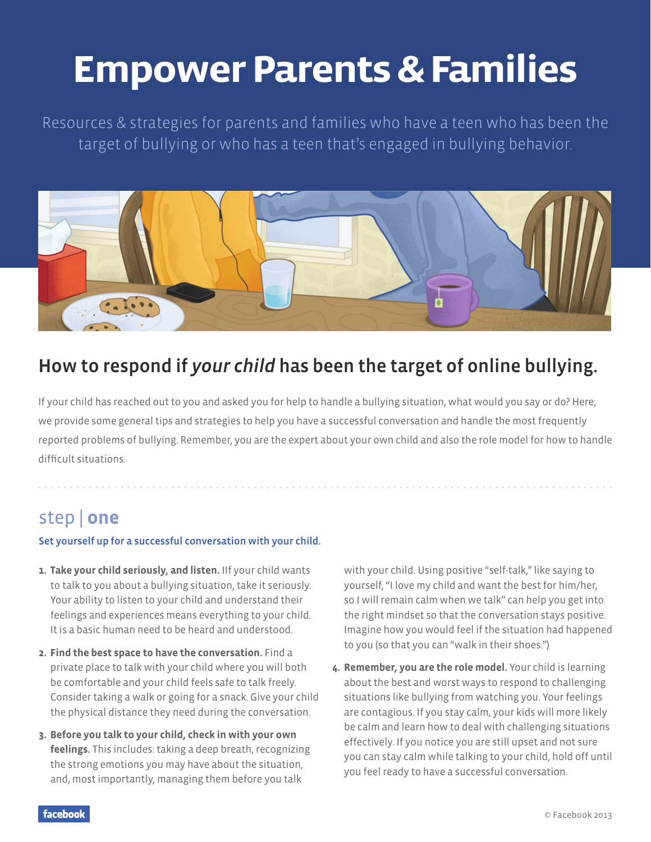# **Empower Parents & Families**

Resources & strategies for parents and families who have a teen who has been the target of bullying or who has a teen that's engaged in bullying behavior.



# How to respond if *your child* has been the target of online bullying.

If your child has reached out to you and asked you for help to handle a bullying situation, what would you say or do? Here, we provide some general tips and strategies to help you have a successful conversation and handle the most frequently reported problems of bullying. Remember, you are the expert about your own child and also the role model for how to handle difficult situations.

# step | **one**

#### Set yourself up for a successful conversation with your child.

- **1. Take your child seriously, and listen.** IIf your child wants to talk to you about a bullying situation, take it seriously. Your ability to listen to your child and understand their feelings and experiences means everything to your child. It is a basic human need to be heard and understood.
- **2. Find the best space to have the conversation.** Find a private place to talk with your child where you will both be comfortable and your child feels safe to talk freely. Consider taking a walk or going for a snack. Give your child the physical distance they need during the conversation.
- **3. Before you talk to your child, check in with your own feelings.** This includes: taking a deep breath, recognizing the strong emotions you may have about the situation, and, most importantly, managing them before you talk

with your child. Using positive "self-talk," like saying to yourself, "I love my child and want the best for him/her, so I will remain calm when we talk" can help you get into the right mindset so that the conversation stays positive. Imagine how you would feel if the situation had happened to you (so that you can "walk in their shoes.")

**4. Remember, you are the role model.** Your child is learning about the best and worst ways to respond to challenging situations like bullying from watching you. Your feelings are contagious. If you stay calm, your kids will more likely be calm and learn how to deal with challenging situations effectively. If you notice you are still upset and not sure you can stay calm while talking to your child, hold off until you feel ready to have a successful conversation.

facebook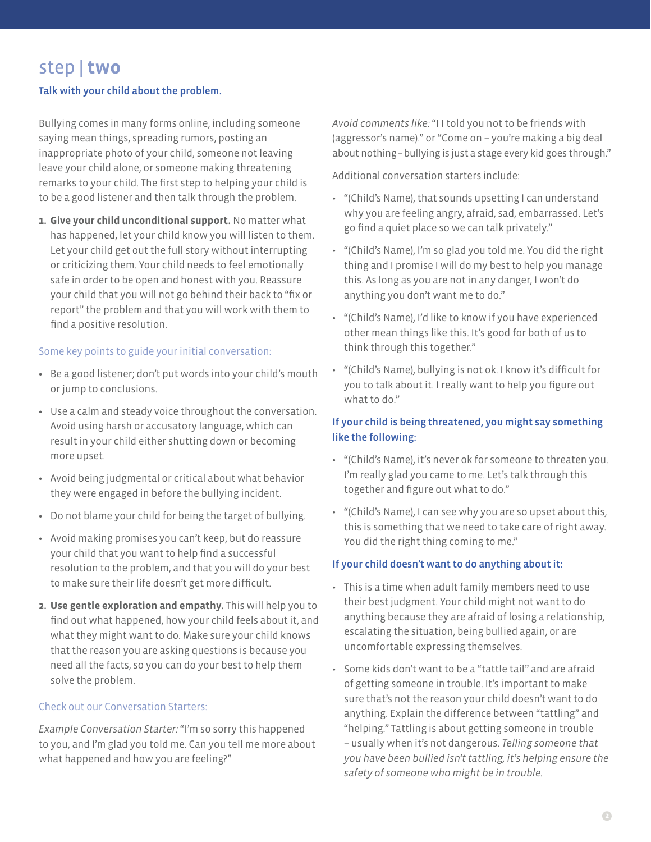# step | **two**

#### Talk with your child about the problem.

Bullying comes in many forms online, including someone saying mean things, spreading rumors, posting an inappropriate photo of your child, someone not leaving leave your child alone, or someone making threatening remarks to your child. The first step to helping your child is to be a good listener and then talk through the problem.

**1. Give your child unconditional support.** No matter what has happened, let your child know you will listen to them. Let your child get out the full story without interrupting or criticizing them. Your child needs to feel emotionally safe in order to be open and honest with you. Reassure your child that you will not go behind their back to "fix or report" the problem and that you will work with them to find a positive resolution.

#### Some key points to guide your initial conversation:

- Be a good listener; don't put words into your child's mouth or jump to conclusions.
- Use a calm and steady voice throughout the conversation. Avoid using harsh or accusatory language, which can result in your child either shutting down or becoming more upset.
- Avoid being judgmental or critical about what behavior they were engaged in before the bullying incident.
- Do not blame your child for being the target of bullying.
- Avoid making promises you can't keep, but do reassure your child that you want to help find a successful resolution to the problem, and that you will do your best to make sure their life doesn't get more difficult.
- **2. Use gentle exploration and empathy.** This will help you to find out what happened, how your child feels about it, and what they might want to do. Make sure your child knows that the reason you are asking questions is because you need all the facts, so you can do your best to help them solve the problem.

#### Check out our Conversation Starters:

*Example Conversation Starter:* "I'm so sorry this happened to you, and I'm glad you told me. Can you tell me more about what happened and how you are feeling?"

*Avoid comments like:* "I I told you not to be friends with (aggressor's name)." or "Come on – you're making a big deal about nothing – bullying is just a stage every kid goes through."

Additional conversation starters include:

- "(Child's Name), that sounds upsetting I can understand why you are feeling angry, afraid, sad, embarrassed. Let's go find a quiet place so we can talk privately."
- "(Child's Name), I'm so glad you told me. You did the right thing and I promise I will do my best to help you manage this. As long as you are not in any danger, I won't do anything you don't want me to do."
- "(Child's Name), I'd like to know if you have experienced other mean things like this. It's good for both of us to think through this together."
- "(Child's Name), bullying is not ok. I know it's difficult for you to talk about it. I really want to help you figure out what to do."

#### If your child is being threatened, you might say something like the following:

- "(Child's Name), it's never ok for someone to threaten you. I'm really glad you came to me. Let's talk through this together and figure out what to do."
- "(Child's Name), I can see why you are so upset about this, this is something that we need to take care of right away. You did the right thing coming to me."

#### If your child doesn't want to do anything about it:

- This is a time when adult family members need to use their best judgment. Your child might not want to do anything because they are afraid of losing a relationship, escalating the situation, being bullied again, or are uncomfortable expressing themselves.
- Some kids don't want to be a "tattle tail" and are afraid of getting someone in trouble. It's important to make sure that's not the reason your child doesn't want to do anything. Explain the difference between "tattling" and "helping." Tattling is about getting someone in trouble – usually when it's not dangerous. *Telling someone that you have been bullied isn't tattling, it's helping ensure the safety of someone who might be in trouble.*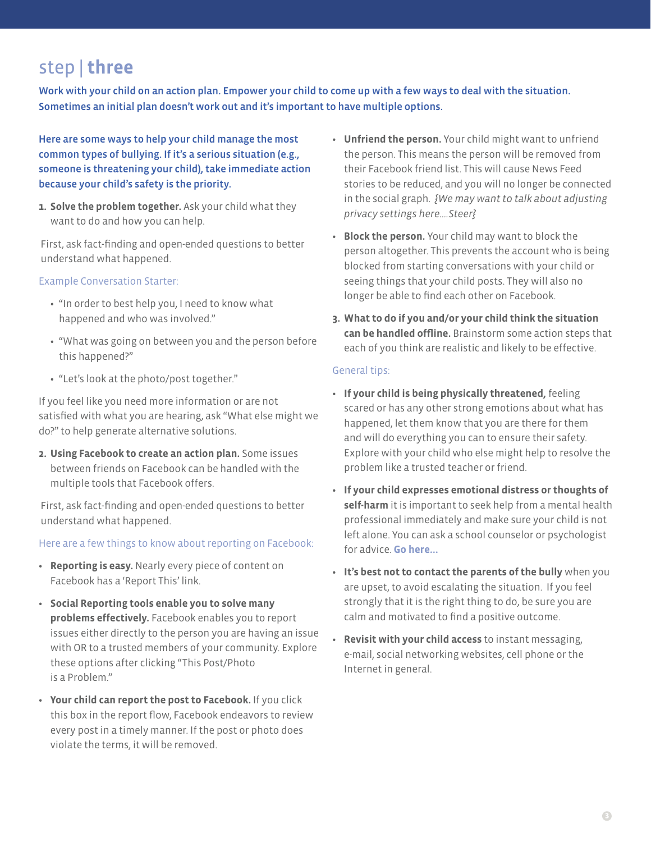# step | **three**

Work with your child on an action plan. Empower your child to come up with a few ways to deal with the situation. Sometimes an initial plan doesn't work out and it's important to have multiple options.

Here are some ways to help your child manage the most common types of bullying. If it's a serious situation (e.g., someone is threatening your child), take immediate action because your child's safety is the priority.

**1. Solve the problem together.** Ask your child what they want to do and how you can help.

First, ask fact-finding and open-ended questions to better understand what happened.

#### Example Conversation Starter:

- "In order to best help you, I need to know what happened and who was involved."
- "What was going on between you and the person before this happened?"
- "Let's look at the photo/post together."

If you feel like you need more information or are not satisfied with what you are hearing, ask "What else might we do?" to help generate alternative solutions.

**2. Using Facebook to create an action plan.** Some issues between friends on Facebook can be handled with the multiple tools that Facebook offers.

First, ask fact-finding and open-ended questions to better understand what happened.

Here are a few things to know about reporting on Facebook:

- **Reporting is easy.** Nearly every piece of content on Facebook has a 'Report This' link.
- **Social Reporting tools enable you to solve many problems effectively.** Facebook enables you to report issues either directly to the person you are having an issue with OR to a trusted members of your community. Explore these options after clicking "This Post/Photo is a Problem."
- **Your child can report the post to Facebook.** If you click this box in the report flow, Facebook endeavors to review every post in a timely manner. If the post or photo does violate the terms, it will be removed.
- **Unfriend the person.** Your child might want to unfriend the person. This means the person will be removed from their Facebook friend list. This will cause News Feed stories to be reduced, and you will no longer be connected in the social graph. *{We may want to talk about adjusting privacy settings here….Steer}*
- **Block the person.** Your child may want to block the person altogether. This prevents the account who is being blocked from starting conversations with your child or seeing things that your child posts. They will also no longer be able to find each other on Facebook.
- **3. What to do if you and/or your child think the situation can be handled offline.** Brainstorm some action steps that each of you think are realistic and likely to be effective.

#### General tips:

- **If your child is being physically threatened,** feeling scared or has any other strong emotions about what has happened, let them know that you are there for them and will do everything you can to ensure their safety. Explore with your child who else might help to resolve the problem like a trusted teacher or friend.
- **If your child expresses emotional distress or thoughts of self-harm** it is important to seek help from a mental health professional immediately and make sure your child is not left alone. You can ask a school counselor or psychologist for advice. **Go here...**
- **It's best not to contact the parents of the bully** when you are upset, to avoid escalating the situation. If you feel strongly that it is the right thing to do, be sure you are calm and motivated to find a positive outcome.
- **Revisit with your child access** to instant messaging, e-mail, social networking websites, cell phone or the Internet in general.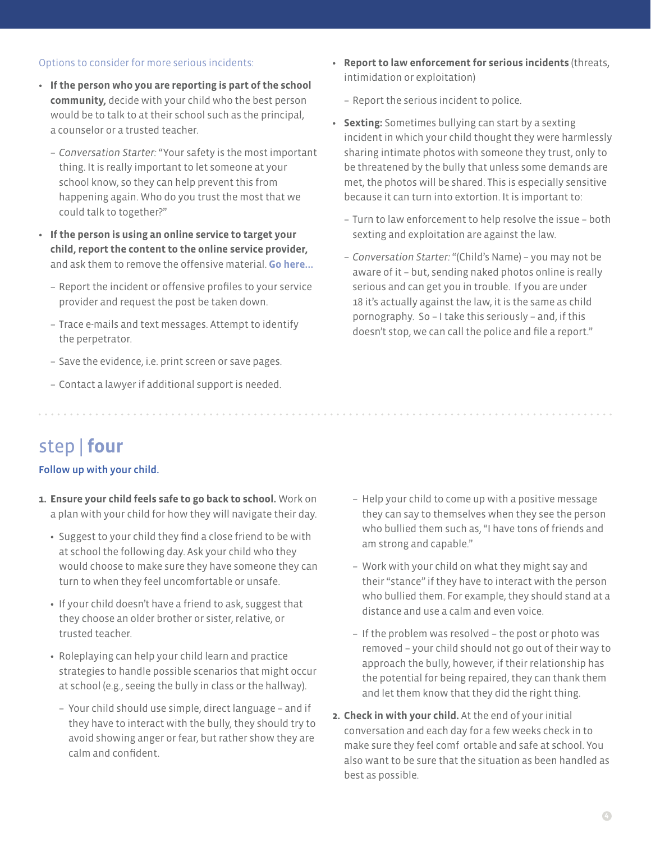#### Options to consider for more serious incidents:

- **If the person who you are reporting is part of the school community,** decide with your child who the best person would be to talk to at their school such as the principal, a counselor or a trusted teacher.
	- *Conversation Starter:* "Your safety is the most important thing. It is really important to let someone at your school know, so they can help prevent this from happening again. Who do you trust the most that we could talk to together?"
- **If the person is using an online service to target your child, report the content to the online service provider,**  and ask them to remove the offensive material. **Go here...**
	- Report the incident or offensive profiles to your service provider and request the post be taken down.
	- Trace e-mails and text messages. Attempt to identify the perpetrator.
	- Save the evidence, i.e. print screen or save pages.
	- Contact a lawyer if additional support is needed.
- **Report to law enforcement for serious incidents** (threats, intimidation or exploitation)
	- Report the serious incident to police.
- **Sexting:** Sometimes bullying can start by a sexting incident in which your child thought they were harmlessly sharing intimate photos with someone they trust, only to be threatened by the bully that unless some demands are met, the photos will be shared. This is especially sensitive because it can turn into extortion. It is important to:
	- Turn to law enforcement to help resolve the issue both sexting and exploitation are against the law.
	- *Conversation Starter:* "(Child's Name) you may not be aware of it – but, sending naked photos online is really serious and can get you in trouble. If you are under 18 it's actually against the law, it is the same as child pornography. So – I take this seriously – and, if this doesn't stop, we can call the police and file a report."

# step | **four**

#### Follow up with your child.

- **1. Ensure your child feels safe to go back to school.** Work on a plan with your child for how they will navigate their day.
	- Suggest to your child they find a close friend to be with at school the following day. Ask your child who they would choose to make sure they have someone they can turn to when they feel uncomfortable or unsafe.
	- If your child doesn't have a friend to ask, suggest that they choose an older brother or sister, relative, or trusted teacher.
	- Roleplaying can help your child learn and practice strategies to handle possible scenarios that might occur at school (e.g., seeing the bully in class or the hallway).
		- Your child should use simple, direct language and if they have to interact with the bully, they should try to avoid showing anger or fear, but rather show they are calm and confident.
- Help your child to come up with a positive message they can say to themselves when they see the person who bullied them such as, "I have tons of friends and am strong and capable."
- Work with your child on what they might say and their "stance" if they have to interact with the person who bullied them. For example, they should stand at a distance and use a calm and even voice.
- If the problem was resolved the post or photo was removed – your child should not go out of their way to approach the bully, however, if their relationship has the potential for being repaired, they can thank them and let them know that they did the right thing.
- **2. Check in with your child.** At the end of your initial conversation and each day for a few weeks check in to make sure they feel comf ortable and safe at school. You also want to be sure that the situation as been handled as best as possible.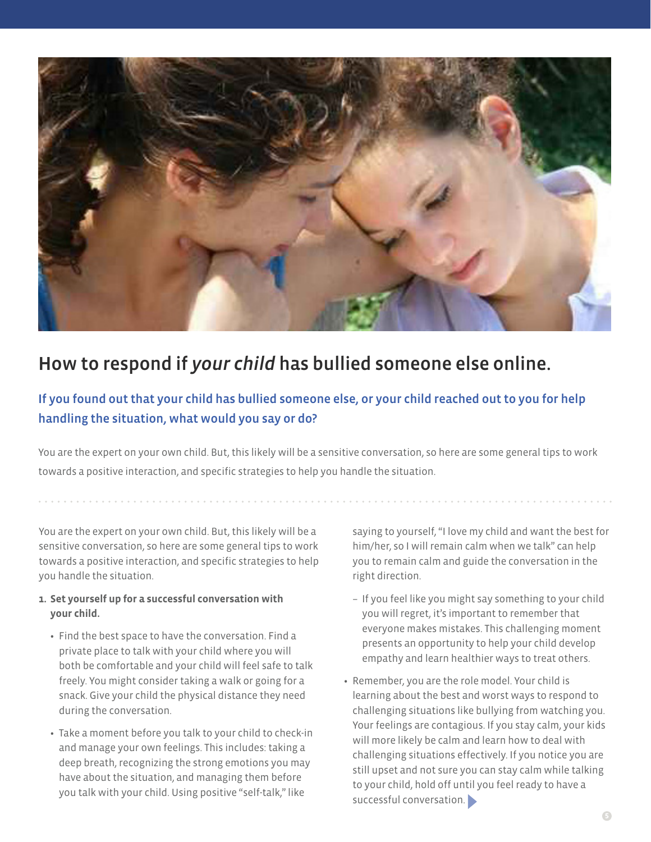

# How to respond if *your child* has bullied someone else online.

### If you found out that your child has bullied someone else, or your child reached out to you for help handling the situation, what would you say or do?

You are the expert on your own child. But, this likely will be a sensitive conversation, so here are some general tips to work towards a positive interaction, and specific strategies to help you handle the situation.

You are the expert on your own child. But, this likely will be a sensitive conversation, so here are some general tips to work towards a positive interaction, and specific strategies to help you handle the situation.

- **1. Set yourself up for a successful conversation with your child.**
	- Find the best space to have the conversation. Find a private place to talk with your child where you will both be comfortable and your child will feel safe to talk freely. You might consider taking a walk or going for a snack. Give your child the physical distance they need during the conversation.
	- Take a moment before you talk to your child to check-in and manage your own feelings. This includes: taking a deep breath, recognizing the strong emotions you may have about the situation, and managing them before you talk with your child. Using positive "self-talk," like

saying to yourself, "I love my child and want the best for him/her, so I will remain calm when we talk" can help you to remain calm and guide the conversation in the right direction.

- If you feel like you might say something to your child you will regret, it's important to remember that everyone makes mistakes. This challenging moment presents an opportunity to help your child develop empathy and learn healthier ways to treat others.
- Remember, you are the role model. Your child is learning about the best and worst ways to respond to challenging situations like bullying from watching you. Your feelings are contagious. If you stay calm, your kids will more likely be calm and learn how to deal with challenging situations effectively. If you notice you are still upset and not sure you can stay calm while talking to your child, hold off until you feel ready to have a successful conversation.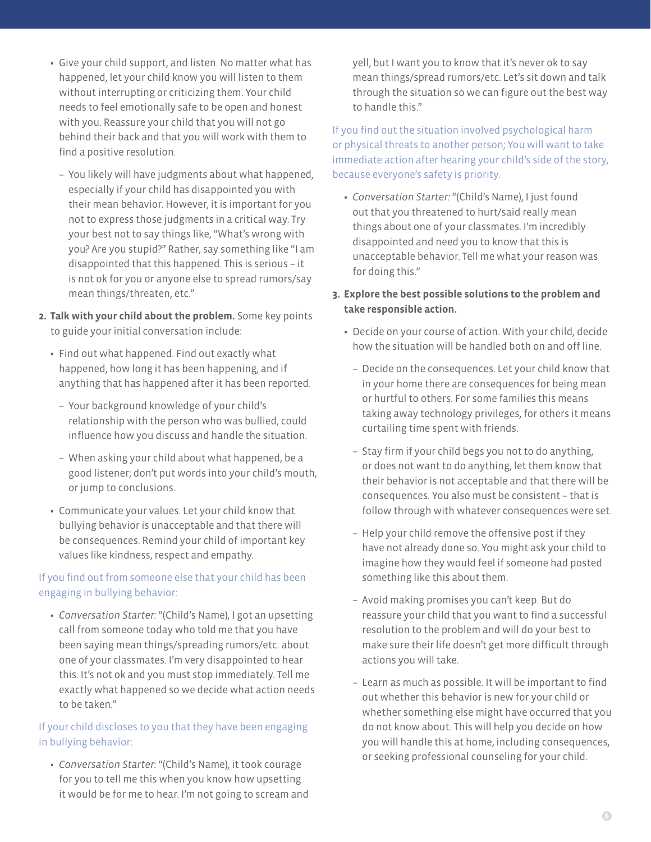- Give your child support, and listen. No matter what has happened, let your child know you will listen to them without interrupting or criticizing them. Your child needs to feel emotionally safe to be open and honest with you. Reassure your child that you will not go behind their back and that you will work with them to find a positive resolution.
	- You likely will have judgments about what happened, especially if your child has disappointed you with their mean behavior. However, it is important for you not to express those judgments in a critical way. Try your best not to say things like, "What's wrong with you? Are you stupid?" Rather, say something like "I am disappointed that this happened. This is serious – it is not ok for you or anyone else to spread rumors/say mean things/threaten, etc."
- **2. Talk with your child about the problem.** Some key points to guide your initial conversation include:
	- Find out what happened. Find out exactly what happened, how long it has been happening, and if anything that has happened after it has been reported.
		- Your background knowledge of your child's relationship with the person who was bullied, could influence how you discuss and handle the situation.
		- When asking your child about what happened, be a good listener; don't put words into your child's mouth, or jump to conclusions.
	- Communicate your values. Let your child know that bullying behavior is unacceptable and that there will be consequences. Remind your child of important key values like kindness, respect and empathy.

#### If you find out from someone else that your child has been engaging in bullying behavior:

 *Conversation Starter:* "(Child's Name), I got an upsetting call from someone today who told me that you have been saying mean things/spreading rumors/etc. about one of your classmates. I'm very disappointed to hear this. It's not ok and you must stop immediately. Tell me exactly what happened so we decide what action needs to be taken."

#### If your child discloses to you that they have been engaging in bullying behavior:

 *Conversation Starter:* "(Child's Name), it took courage for you to tell me this when you know how upsetting it would be for me to hear. I'm not going to scream and yell, but I want you to know that it's never ok to say mean things/spread rumors/etc. Let's sit down and talk through the situation so we can figure out the best way to handle this."

If you find out the situation involved psychological harm or physical threats to another person; You will want to take immediate action after hearing your child's side of the story, because everyone's safety is priority.

 *Conversation Starter:* "(Child's Name), I just found out that you threatened to hurt/said really mean things about one of your classmates. I'm incredibly disappointed and need you to know that this is unacceptable behavior. Tell me what your reason was for doing this."

#### **3. Explore the best possible solutions to the problem and take responsible action.**

- Decide on your course of action. With your child, decide how the situation will be handled both on and off line.
	- Decide on the consequences. Let your child know that in your home there are consequences for being mean or hurtful to others. For some families this means taking away technology privileges, for others it means curtailing time spent with friends.
	- Stay firm if your child begs you not to do anything, or does not want to do anything, let them know that their behavior is not acceptable and that there will be consequences. You also must be consistent – that is follow through with whatever consequences were set.
	- Help your child remove the offensive post if they have not already done so. You might ask your child to imagine how they would feel if someone had posted something like this about them.
	- Avoid making promises you can't keep. But do reassure your child that you want to find a successful resolution to the problem and will do your best to make sure their life doesn't get more difficult through actions you will take.
	- Learn as much as possible. It will be important to find out whether this behavior is new for your child or whether something else might have occurred that you do not know about. This will help you decide on how you will handle this at home, including consequences, or seeking professional counseling for your child.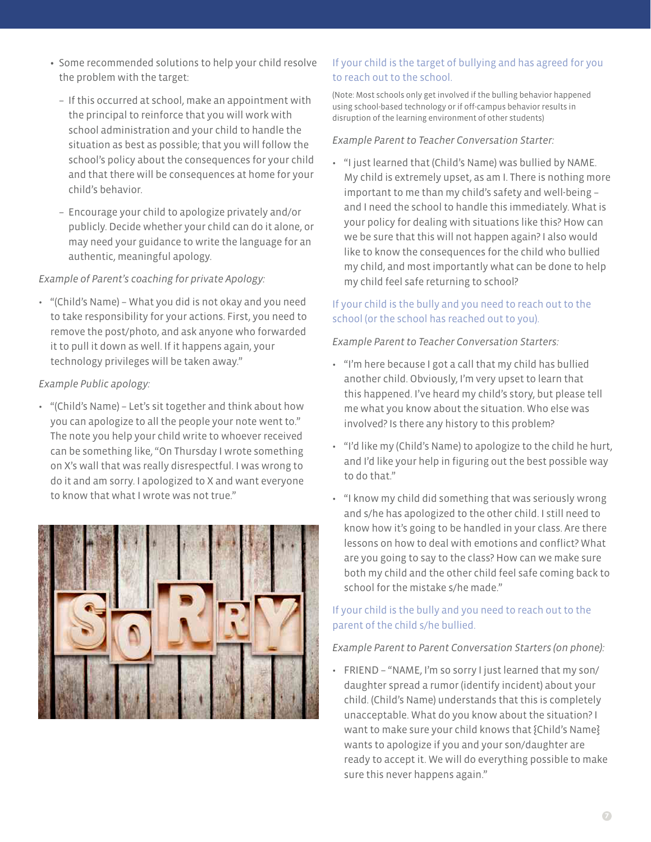- Some recommended solutions to help your child resolve the problem with the target:
	- If this occurred at school, make an appointment with the principal to reinforce that you will work with school administration and your child to handle the situation as best as possible; that you will follow the school's policy about the consequences for your child and that there will be consequences at home for your child's behavior.
	- Encourage your child to apologize privately and/or publicly. Decide whether your child can do it alone, or may need your guidance to write the language for an authentic, meaningful apology.

#### *Example of Parent's coaching for private Apology:*

• "(Child's Name) - What you did is not okay and you need to take responsibility for your actions. First, you need to remove the post/photo, and ask anyone who forwarded it to pull it down as well. If it happens again, your technology privileges will be taken away."

#### *Example Public apology:*

• "(Child's Name) - Let's sit together and think about how you can apologize to all the people your note went to." The note you help your child write to whoever received can be something like, "On Thursday I wrote something on X's wall that was really disrespectful. I was wrong to do it and am sorry. I apologized to X and want everyone to know that what I wrote was not true."



### If your child is the target of bullying and has agreed for you to reach out to the school.

(Note: Most schools only get involved if the bulling behavior happened using school-based technology or if off-campus behavior results in disruption of the learning environment of other students)

*Example Parent to Teacher Conversation Starter:* 

• "I just learned that (Child's Name) was bullied by NAME. My child is extremely upset, as am I. There is nothing more important to me than my child's safety and well-being – and I need the school to handle this immediately. What is your policy for dealing with situations like this? How can we be sure that this will not happen again? I also would like to know the consequences for the child who bullied my child, and most importantly what can be done to help my child feel safe returning to school?

### If your child is the bully and you need to reach out to the school (or the school has reached out to you).

*Example Parent to Teacher Conversation Starters:* 

- "I'm here because I got a call that my child has bullied another child. Obviously, I'm very upset to learn that this happened. I've heard my child's story, but please tell me what you know about the situation. Who else was involved? Is there any history to this problem?
- "I'd like my (Child's Name) to apologize to the child he hurt, and I'd like your help in figuring out the best possible way to do that."
- "I know my child did something that was seriously wrong and s/he has apologized to the other child. I still need to know how it's going to be handled in your class. Are there lessons on how to deal with emotions and conflict? What are you going to say to the class? How can we make sure both my child and the other child feel safe coming back to school for the mistake s/he made."

### If your child is the bully and you need to reach out to the parent of the child s/he bullied.

### *Example Parent to Parent Conversation Starters (on phone):*

• FRIEND - "NAME, I'm so sorry I just learned that my son/ daughter spread a rumor (identify incident) about your child. (Child's Name) understands that this is completely unacceptable. What do you know about the situation? I want to make sure your child knows that {Child's Name} wants to apologize if you and your son/daughter are ready to accept it. We will do everything possible to make sure this never happens again."